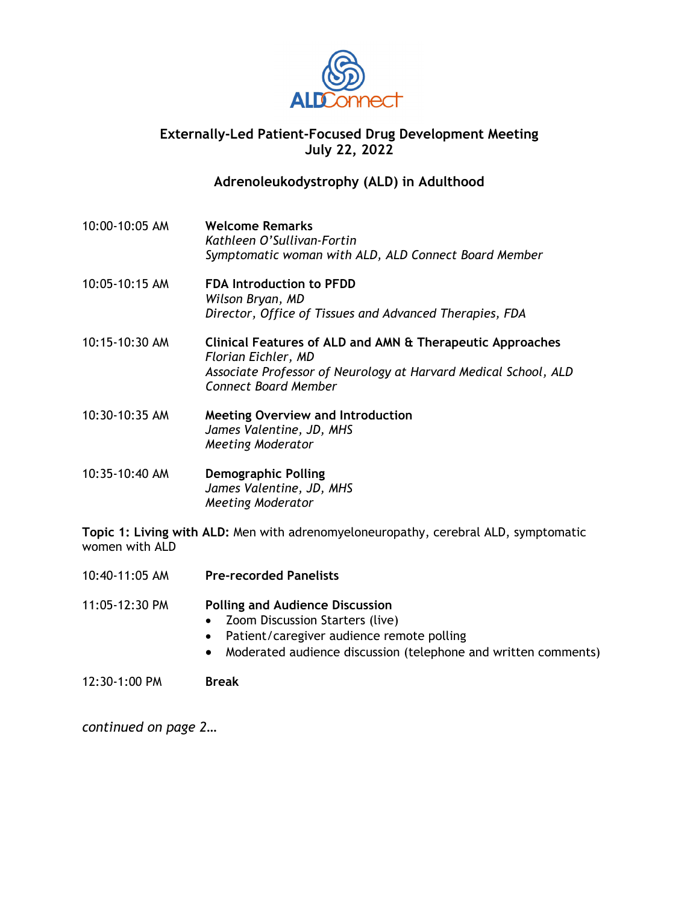

## **Externally-Led Patient-Focused Drug Development Meeting July 22, 2022**

## **Adrenoleukodystrophy (ALD) in Adulthood**

- 10:00-10:05 AM **Welcome Remarks**  *Kathleen O'Sullivan-Fortin Symptomatic woman with ALD, ALD Connect Board Member*
- 10:05-10:15 AM **FDA Introduction to PFDD**  *Wilson Bryan, MD Director, Office of Tissues and Advanced Therapies, FDA*
- 10:15-10:30 AM **Clinical Features of ALD and AMN & Therapeutic Approaches**  *Florian Eichler, MD Associate Professor of Neurology at Harvard Medical School, ALD Connect Board Member*
- 10:30-10:35 AM **Meeting Overview and Introduction** *James Valentine, JD, MHS Meeting Moderator*
- 10:35-10:40 AM **Demographic Polling** *James Valentine, JD, MHS Meeting Moderator*

**Topic 1: Living with ALD:** Men with adrenomyeloneuropathy, cerebral ALD, symptomatic women with ALD

10:40-11:05 AM **Pre-recorded Panelists**

11:05-12:30 PM **Polling and Audience Discussion** 

- Zoom Discussion Starters (live)
- Patient/caregiver audience remote polling
- Moderated audience discussion (telephone and written comments)

12:30-1:00 PM **Break**

*continued on page 2…*